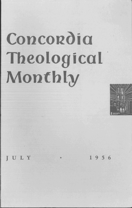# Concordia Theological Monthly



JULY

1956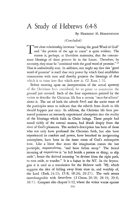## **A Study** of Hebrevvs **6:4-8**

#### By HERBERT H. HOHENSTEIN

### *(Concluded)*

THE close relationship between "tasting the good Word of God" and "the powers of the age to come" is quite evident. The reason is, perhaps, as Davidson maintains, that the consummate blessings of these powers lie in the future. Therefore, by necessity, they must be "combined with the good word of promise." 11 That is undoubtedly true. In addition, one might say that this "good word of promise" is itself that very power by which God establishes communion with men and thereby projects the blessings of that which is to come into that which now is. Cf. Rom.  $1:16$ .

Before entering upon an interpretation of the actual apostasy of the Christians here considered, let us pause to summarize the ground just covered. Each of the four experiences painted by the writer to describe the Christian life has a certain "once-for-allness" about it. The use of both the adverb  $\tilde{\alpha}\pi\alpha\xi$  and the aorist tense of the participles seem to indicate that the rebirth from death to life should happen just once. In addition, the Christian life here presented possesses an intensely experienced absorption into the reality of the blessings which faith in Christ brings. These people had tasted richly of the eternal manna, had drunk deeply from the river of God's pleasures. The author's description has been of those who not only have professed the Christian faith, but also have experienced its comfort and power, have breathed its invigorating atmosphere, have been in the inner room of God's redemptive love. Like a blow that stuns the imagination comes the last participle,  $\pi\alpha_0\alpha\pi\epsilon\sigma\acute{o}\nu\tau\alpha_5$ , "and have fallen away." The literal meaning of  $\pi \alpha \rho \alpha \pi \beta \pi \omega$  is "to fall beside a person or thing; to slip aside"; hence the derived meaning "to deviate from the right path, to turn aside, to wander." It is a *hapax* in the NT. In the Septuagint it is used as a translation for the Hebrew verb  $\frac{1}{2}$ , which suggests the idea of falling away from trust in, and worship of, the Lord (Ezek.14:13; 15:8; 18:24; 20:27). The verb seems interchangeable with ἀποστῆναι (2 Chron. 26:18; 28:19; 29:6;  $30:7$ ). Compare also chapter  $3:12$ , where the writer warns against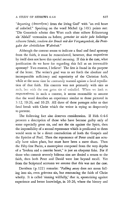"departing (ἀποστῆναι) from the living God" with "an evil heart of unbelief." Speaking on the word Michel (p.149) points out: "Die Gemeinde scheint dies Wort auch ohne nähere Erläuterung als 'AbfaH' verstanden zu haben; *gemeint ist nicht jede beliebige*  schwere Sünde, sondern der Bruch mit der Vergangenbeit, die Preis*gabe der christlichen Wahrheit."* 

Although the context seems to indicate a final and fatal apostasy from the faith, it must be remembered, however, that  $\pi\alpha\gamma\alpha\pi\beta\pi\alpha$ by itself does not have this special meaning. If this is the case, what justification do we have for regarding this fall as an irrevocable apostasy? Two reasons, I believe! The first is found in the purpose of the letter. The writer's goal was to set forth the absolute and incomparable sufficiency and superiority of the Christian faith, while at the same time he constantly warned against a fatal repudiation of that faith. His concern was not primarily with sins as such, but with the one great sin of unbelief. When we look at παραπεσόντας in such a context, it seems reasonable to assume that the word describes an experience similar to those pictured in 3:12, 10:26, and lO:29. All three of these passages refer to that fatal break with Christ which the writer is trying so desperately to prevent.

The following fact also deserves consideration. If Heb.6:4-6 presents a description of those who have become guilty only of some especially great sin, and not the sin against the Spirit, then the impossibility of a second repentance which is predicated to them would seem to be a direct contradiction of both the Gospels and the Epistles of Paul. Then the repentance of Peter could not actually have taken place, but must have been a mere sham. Then the Fifty-first Psalm, a masterpiece composed from the very depths of a "broken and a contrite heart," is just an eloquent fake. For if those who commit severely hideous sins are denied a return to the faith, then both Peter and David were lost beyond recall. Yet from the Scriptural accounts we assume that this was not the case.

Davidson (p. 122) remarks: *"Falling away* does not mean falling into sin, even grievous sin, but renouncing the faith of Christ wholly. It is called 'sinning willfully,' that is, apostatizing against experience and better knowledge, in 10:26, where the history and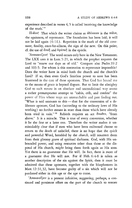experience described in verses 4, 5 is called 'receiving the knowledge of the truth.'"

 $\Pi$ άλιν! That which the writer claims as άδύνατον is the πάλιν, the againness, of repentance. The foundation has been laid; it will not be laid again (6:1£.). Repetition is the mark of the old covenant; finality, once-for-allness, the sign of the new. On this point, cf. the use of  $\dim \xi$  and  $\imath \varphi \circ \pi$  in the epistle.

'Av $\alpha$ x $\alpha$ uvi $\zeta$ ειν! The word occurs only here in the New Testament. The LXX uses it in Lam. 5:21, in which the prophet requests the Lord to "renew our days as of old." Compare also Psalm 39:2 and 103:5. For whom is this restoration to repentance impossible? Does the writer have in mind both the church and the church's Lord? If so, then even God's limitless power to save has been frustrated in the case of these apostates. That God has bound me to the means of grace is beyond dispute. But to limit the almighty God to such means in an absolute and unconditional way seems a rather presumptuous attempt to "cabin, crib, and confine" the power of Him whose ways are unsearchable and past finding out. "What is said amounts to this - that for the conversion of a deliberate apostate, God has (according to the ordinary laws of His working) no further means in store than those which have already been tried in vain."<sup>12</sup> Rebirth requires an act dvwdev, "from above." It is a miracle. This is true of every conversion, whether it be the first or a later one. Therefore the writer makes it unmistakably clear that if men who have been enlivened choose to return to the death of unbelief, there is no hope that the quick and powerful Word, heralded by the *church,* will resurrect them from their gloomy grave of spiritual darkness. God, with His unbounded power, and using resources other than those at the disposal of His church, *might* bring them forth again as His sons. Yet there is no guarantee that He will. In fact, there is more of a guarantee that He will not. For if Heb. 6: 4-8 is taken as another description of the sin against the Spirit, then it must be admitted that these apostates, together with the blasphemers in Matt. 12:31, 32, have become guilty of a sin which will not be pardoned either in this age or the age to come.

'Avaxaivi's is a present infinitive, suggesting, perhaps, a continued and persistent effort on the part of the church to restore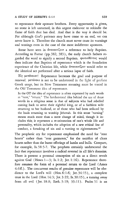to repentance their apostate brothers. Every opportunity is given, no stone is left unturned, in this urgent endeavor to rekindle the flame of faith that has died. And that is the way it should be. For although *God's* patience may have come to an end, we can never know it. Therefore the church must never cease its warnings and wooings even in the case of the most indifferent apostates.

Some have seen in ἀνακαινίζειν a reference to holy Baptism. According to Farrar (pp.382, 383), the early church fathers regarded the word to signify a second Baptism.  $\varphi$  worto $\vartheta$ έντας would then indicate that Baptism of repentance which is the foundation experience of the Christian life, while ανακαινίζειν would refer to the identical act performed after a serious lapse of faith.

Elç μετάνοιαν! Repentance becomes the goal and purpose of renewal. μετάνοια is not to be understood in the light of profane Greek usage, but its New Testament meaning must be traced in the Old Testament idea of repentance.

In the OT the idea of repentance is often expressed by such words as "turn," "return." The fundamental idea behind the use of these words in a religious sense is that of subjects who had rebelled coming back to serve their rightful king, or of a faithless wife returning to her husband, or of those who had been seduced by the baals returning to worship Jehovah. In this sense "turning" means much more than a mere change of mind, though it includes this; it represents a re-orientation of one's whole life and personality, which includes the adoption of a new ethical line of conduct, a forsaking of sin and a turning to righteousness.<sup>13</sup>

The prophetic cry for repentance emphasized the need for "rent hearts" rather than "rent garments," for the sacrifice of clean hearts rather than the burnt offerings of lambs and bulls. Compare, for example, Is. 58:5-7. The prophets certainly underscored the fact that repentance involves a radical reversal in all life's domains. There is present a personal conception of sin as a direct revolt against God (Hosea  $1-3$ ; Is. 1:2; Jer. 1:16). Repentance therefore assumes the form of a personal return to the Lord (Amos 4:6ff.). The concurrent results of genuine repentance will be obedience to the Lord's will (Hos.  $6:1-6$ ; Jer.  $34:15$ ), a complete trust in the Lord (Hos.14:3; Jer. 3:22; Is. 30:15), a turning away from all evil (Jer.18:8; Ezek. 3:19; 33:11). Psalm 51 is an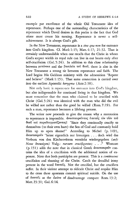example par excellence of the whole Old Testament idea of repentance. Perhaps one of the outstanding characteristics of the repentance which David desires in this psalm is the fact that God alone must create his turning. Repentance is never a selfachievement. It is always God's gift.

In the New Testament, repentance is a sine qua non for entrance into God's kingdom. Cf. Mark 1:15; Matt. 4:17; 21:32. That is certainly understandable when one recalls that the Christ in whom God's scepter wields its royal rule can live in our hearts only after self-crucifixion (Gal. 5:24). In addition to this close relationship between  $\mu$ ετάνοια and the βασιλεία τοῦ θεοῦ, there is also in the New Testament a strong tie between repentance and faith. The Lord begins His Galilean ministry with the admonition "Repent and believe" (Mark 1:15). That same connection is carried over into the earliest Apostolic kerygma (Acts 2:38).

Not only basic is repentance for entrance into God's kingdom, but also indispensable for continued living in that kingdom. We must remember that the man who claimed to be crucified with Christ  $(Ga1, 5:24)$  was identical with the man who did the evil he willed not rather than the good he willed (Rom. 7:19). For such a man, repentance becomes a lifelong process.

The writer now proceeds to give the reason why a restoration to repentance is impossible. ανασταυρούντας έαυτοίς τον υίον του θεοῦ και παραδειγματίζοντας! "Since they continually crucify to themselves (to their own hurt) the Son of God and constantly hold Him up to open shame!" According to Michel (p. 149), άνασταυρούν "heisst eigentlich nur kreuzigen . . . doch wird das Verbum von den Kirchenvätern verstärkt wiedergegeben (aufs Neue kreuzigen) Vulg.: rursum crucifigentes; . . ." Westcott (p. 151) adds the note that in classical Greek ἀναστανροῦν contains the idea of a crucifixion with the additional notion of exposure. Note that both participles are present. This is a continuous crucifixion and shaming of the Christ. Catch the dreadful irony present in the word έαυτοίς. Not the crucified, but the crucifiers suffer. In their violent attempt to ridicule Christ and respike Him to the cross these apostates commit spiritual suicide. On the use of έαυτοις as the dative of disadvantage compare Rom. 13:2; Matt. 23:31; Gal. 6:14.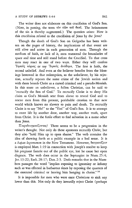The writer does not elaborate on this crucifixion of God's Son. (Note, in passing, the term tòv viòv tov deov. The heinousness of the sin is thereby augmented.) The question arises: How is this crucifixion related to the crucifixion of Jesus by the Jews?

Though the death of God's Son on Golgotha has been written on the pages of history, the implications of that event are still alive and active in each generation of men. Through the medium of faith, or lack of it, men transcend the boundaries of space and time and still stand before the Crucified. To that cross men may react in one of two ways. Either they will confess 'Inσούς κύριος or say 'Inσούς ανάθεμα. The first is faith, the second unbelief. And even as the believer benefits from the blessings bestowed in that redemption, so the unbeliever, by his rejection, actually repeats the same crime of the Jewish nation and with them brands Christ as a cursed criminal and a pseudo-Messiah. In this sense an unbeliever, a fallen Christian, can be said to "recrucify the Son of God." To recrucify Christ is to deny His claim as God's Messiah sent from above to reveal God and to rescue men from this present, perishable creation to that new world which knows no slavery to pain and death. To recrucify Christ is to say "No!" to the "Yes!" of God's Son. It is to attempt to enter life by another door, another way, another truth, apart from Christ. It is the futile effort to find salvation in a name other than Jesus.

Παραδειγματίζοντας! There seems to be a progression in the writer's thought. Not only do these apostates recrucify Christ, but they also "hold Him up to open shame." The verb contains the idea of showing forth as a public example in a bad sense. It *is*  a *hapax legomenon* in the New Testament. However, δειγματίζειν is employed Matt. 1: 19 in connection with Joseph's resolve to keep his pregnant fiancée out of the public eye, lest he cause her open disgrace. The verb does occur in the Septuagint in Num.  $25:4$ ; Jer. 13:22; Ezek. 28:17; Dan. 2:5. Dods remarks that in the Numbers passages the word "implies exposing to ignominy or infamy such as was effected in barbarous times by exposing the quarters of the executed criminal or leaving him hanging in chains." 14

It is impossible for men who were once Christians to sink any lower than this. Not only do they inwardly reject Christ (perhaps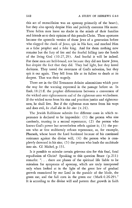this act of recrucifixion was an apostasy primarily of the heart), but they also openly despise Him and publicly contemn His name. These fallen men leave no doubt in the minds of their families and friends as to their opinion of this pseudo-Christ. These apostates become the apostolic version of those Jews of a generation before who slapped the cheek of Jesus, spit in His face, and mocked Him as a false prophet and a fake king. And for them nothing now remains but the fury of fire and the fearful falling into the hands of the living God (10:27,29). And fearful it will be indeed. For these men are hell-bound, not because they did not know Jesus, but despite the fact that they did. They had light, but they loved darkness. They tasted the sweetness of God's salvation, but they spit it out again. They fell from life at its fullest to death at its deepest. That was their tragedy.

There are in the Old Testament definite admonitions which pave the way for the warning expressed in the passage before us. In Ezek.18:21ff. the prophet differentiates between a conversion of the wicked unto righteousness and of the righteous unto wickedness. If the wicked turns from his sins and practices justice and righteousness, he shall live. But if the righteous man turns from his ways and does evil, *he shall die in his sins* (v.24).

The Jewish Rabbinate submits five different cases in which repentance is declared to be impossible: (1) the person who sins carelessly, trusting in a second repentance; (2) the person who knows God's power but nevertheless rebels against it; (3) the person who at first stubbornly refuses repentance, as, for example, Pharaoh, whose heart the Lord hardened because of his continued resistance against the divine will; (4) the person who *is* completely drowned in his sins; (5) the person who leads the multitude into sin. Cf. Michel, p. 151.

Is it possible to mistake certain grievous sins for this final, fatal repudiation of Christ? Speaking to this question Bruce (p. 211) remarks: ". . . there are phases of the spiritual life liable to be mistaken for symptoms of apostasy, which are truly interpreted only when looked at in the light of the great law of gradual growth enunciated by our Lord in the parable of the blade, the green ear, and the full corn in the green ear (Mark4:26-29)." It is according to the divine will and pattern that growth in faith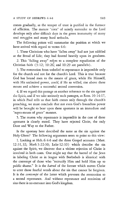comes gradually, as the temper of trust is purified in the furnace of affliction. The mature "corn" of saintly surrender to the Lord develops only after difficult days in the green immaturity of many soul struggles and many hard setbacks.

The following points will summarize the position at which we have arrived with regard to verses 4-6:

1. These Christians who have "fallen away" had not just nibbled at the Bread of Life; they had feasted heavily upon its goodness.

2. This "falling away" refers to a complete repudiation of the Christian faith  $(3:12; 10:26;$  and  $10:29$  are parallels).

3. The restoration from unbelief to repentance is impossible only for the church and not for the church's Lord. This is true because God has bound men to the means of grace, while He Himself, with His unlimited power, *could,* if He so willed, rise above these means and achieve a successful second conversion.

4. If we regard this passage as another reference to the sin against the Spirit, and if we take seriously such passages, as Rom. 10: 14-17, in which Paul tells us that faith comes only through the church's preaching, we must conclude that not even God's boundless power will be brought to bear upon these apostates in an immediate and "supra-means of grace" manner.

5. The reason why repentance is impossible in the case of these apostates is clearly stated. They have rejected Christ, the only Door and Way to the Father.

Is the apostasy here described the same as the sin against the Holy Ghost? The following arguments seem to point to this view:

1. Looking at Heb. 6:4-6 and the three Gospel accounts (Matt. 12:31,32; Mark 3:22-30; Luke 12: 10) which describe the sin against the Spirit, we discover that a violent rejection of Christ is involved in both cases. One might say that the hatred of the Jews in labeling Christ as in league with Beelzebub is identical with the contempt of those who "recrucify Him and hold Him up to public shame." It is the *hatred* of the former which moves Christ to utter those fearful words about the sin that cannot be forgiven. It is the *contempt* of the latter which prevents the restoration to a second repentance. And without repentance and remission of sins there is no entrance into God's kingdom.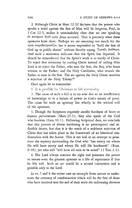2. Although Christ in Matt. 12:32 declares that the person who speaks a word against the Son of Man will be forgiven, Paul, in 1 Cor. 12:3, makes it unmistakably clear that no one speaking  $\dot{\epsilon}$ ν πνεύματι  $\vartheta$ εοῦ calls Jesus accursed. That is precisely what these apostates have done. Perhaps we are assuming too much for the verb παραδειγματίζω, but it seems impossible to "hold the Son of God up to public shame" without thereby saying 'Inoous avadeua. And such a statement indicates that the Spirit has departed. It should be remembered that the Spirit's work is to testify of Christ. To reject that testimony by cursing Christ instead of calling Him Lord is to reject the Father, who sent the Son; the Son, who bears witness to the Father; and the Holy Comforter, who reveals the Father to men in the Son. The sin against the Holy Ghost involves a rejection of the Holy Trinity,15

Once again let us summarize:

1. It is possible for Christians to fall irrevocably.

2. The cause of such a fall is in no wise due to an insufficiency of knowledge or to a failure of power in God's means of grace. The cause for such an apostasy lies wholly in the wicked will of the apostates.

3. Though the Scriptures expressly ascribe hardness of heart to human perverseness (Matt. 23:3), they also speak of the God who hardens (Gen. 10:1). Following Scriptural data, we conclude that this process of divine hardening is no pretemporal and inflexible decree, but that it is the result of a stubborn rejection of Christ that has taken place in the framework of an historical confrontation with the Savior. This is not said in an attempt to penetrate the mystery surrounding the God who "has mercy on whom He will have mercy and whom He will He hardeneth" (Rom. 9:18), yet who still "will have all men to be saved" (1 Tim. 2:4).

4. The Lord always reserves the right and possesses the power to restore even the greatest apostate to a life of repentance if that be His wilL Such an act would be a second conversion and is possible only to the Lord.

In vv. 7 and 8 the writer uses an example from nature to underscore the certainty of condemnation which will be the fate of those who have received into the soil of their souls the enlivening showers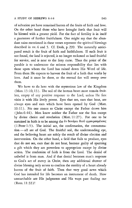of salvation yet have remained barren of the fruits of faith and love. On the other hand those who have brought forth that fruit will be blessed with a greater yield. For the fact of fertility is in itself a guarantee of further fruitfulness. One might say that the abundant rains mentioned in these verses represent the spiritual blessings described in vv.4 and 5. Cf. Dods, p.299. The naturally anticipated result is the fruit of faith and faithfulness. If such fruit is not found, the land is rejected, is no longer reckoned as land fruitful for service, and is near to the fiery curse. Thus the point of the parable is to underscore the solemn responsibility that lies with those upon whom the Lord has rained down His Word of life. From them He expects to harvest the fruit of a faith that works by love. And it must be there, or the eternal fire will sweep over them.

We have to do here with the mysterious law of the Kingdom (Matt.  $13: 10, 13$ ). The soil of the human heart must remain fruitless, empty of any positive response to the Lord, unless He first visits it with His lively power. Eyes that see, ears that hear, are always eyes and ears which have been opened by God (Matt. 10: 11 ). No one comes to Christ except the Father draws him (John 6:44). Men know neither the Father nor the Son except by divine choice and revelation (Matt. 11:27). For one to be sustained in faith is to be among the  $\dot{\epsilon}v$  δυνάμει θεοῦ φρουρουμένους  $(1$  Peter  $1:5$ ). The initial act, the confirmation, the consummation - all are of God. The fruitful soil, the understanding eye, and the believing heart are solely the result of divine election and intervention. On the other hand, a field that fails to produce, eyes that do not see, ears that do not hear, become guilty of spurning a gift which they are powerless to appropriate except by divine action. The confession of faith is from the Lord. The denial of unbelief is from man. And if that denial becomes man's response to God's act of mercy in Christ, then any additional shower of divine blessing only serves to confirm the sterility of a heart already barren of the fruit of faith. Then that very good news which God has intended for life becomes an instrument of death. How unsearchable are His judgments and His ways past finding out (Rom. 11:33)!